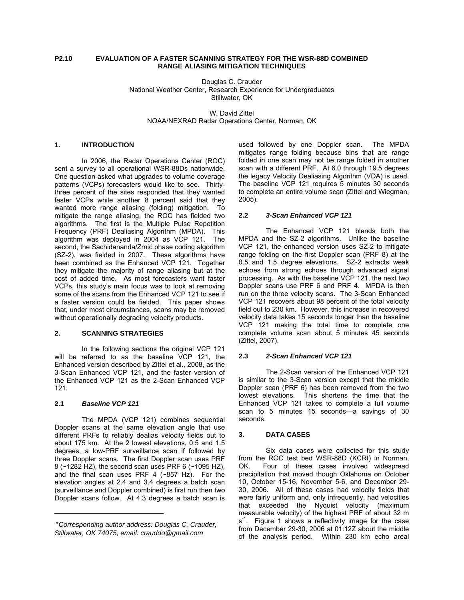#### **P2.10 EVALUATION OF A FASTER SCANNING STRATEGY FOR THE WSR-88D COMBINED RANGE ALIASING MITIGATION TECHNIQUES**

Douglas C. Crauder National Weather Center, Research Experience for Undergraduates Stillwater, OK

W. David Zittel NOAA/NEXRAD Radar Operations Center, Norman, OK

## **1. INTRODUCTION**

 In 2006, the Radar Operations Center (ROC) sent a survey to all operational WSR-88Ds nationwide. One question asked what upgrades to volume coverage patterns (VCPs) forecasters would like to see. Thirtythree percent of the sites responded that they wanted faster VCPs while another 8 percent said that they wanted more range aliasing (folding) mitigation. To mitigate the range aliasing, the ROC has fielded two algorithms. The first is the Multiple Pulse Repetition Frequency (PRF) Dealiasing Algorithm (MPDA). This algorithm was deployed in 2004 as VCP 121. The second, the Sachidananda/Zrnić phase coding algorithm (SZ-2), was fielded in 2007. These algorithms have been combined as the Enhanced VCP 121. Together they mitigate the majority of range aliasing but at the cost of added time. As most forecasters want faster VCPs, this study's main focus was to look at removing some of the scans from the Enhanced VCP 121 to see if a faster version could be fielded. This paper shows that, under most circumstances, scans may be removed without operationally degrading velocity products.

# **2. SCANNING STRATEGIES**

In the following sections the original VCP 121 will be referred to as the baseline VCP 121, the Enhanced version described by Zittel et al., 2008, as the 3-Scan Enhanced VCP 121, and the faster version of the Enhanced VCP 121 as the 2-Scan Enhanced VCP 121.

#### **2.1** *Baseline VCP 121*

 $\overline{a}$ 

The MPDA (VCP 121) combines sequential Doppler scans at the same elevation angle that use different PRFs to reliably dealias velocity fields out to about 175 km. At the 2 lowest elevations, 0.5 and 1.5 degrees, a low-PRF surveillance scan if followed by three Doppler scans. The first Doppler scan uses PRF 8 (~1282 HZ), the second scan uses PRF 6 (~1095 HZ), and the final scan uses PRF 4 (~857 Hz). For the elevation angles at 2.4 and 3.4 degrees a batch scan (surveillance and Doppler combined) is first run then two Doppler scans follow. At 4.3 degrees a batch scan is

used followed by one Doppler scan. The MPDA mitigates range folding because bins that are range folded in one scan may not be range folded in another scan with a different PRF. At 6.0 through 19.5 degrees the legacy Velocity Dealiasing Algorithm (VDA) is used. The baseline VCP 121 requires 5 minutes 30 seconds to complete an entire volume scan (Zittel and Wiegman, 2005).

#### **2.2** *3-Scan Enhanced VCP 121*

The Enhanced VCP 121 blends both the MPDA and the SZ-2 algorithms. Unlike the baseline VCP 121, the enhanced version uses SZ-2 to mitigate range folding on the first Doppler scan (PRF 8) at the 0.5 and 1.5 degree elevations. SZ-2 extracts weak echoes from strong echoes through advanced signal processing. As with the baseline VCP 121, the next two Doppler scans use PRF 6 and PRF 4. MPDA is then run on the three velocity scans. The 3-Scan Enhanced VCP 121 recovers about 98 percent of the total velocity field out to 230 km. However, this increase in recovered velocity data takes 15 seconds longer than the baseline VCP 121 making the total time to complete one complete volume scan about 5 minutes 45 seconds (Zittel, 2007).

#### **2.3** *2-Scan Enhanced VCP 121*

The 2-Scan version of the Enhanced VCP 121 is similar to the 3-Scan version except that the middle Doppler scan (PRF 6) has been removed from the two lowest elevations. This shortens the time that the Enhanced VCP 121 takes to complete a full volume scan to 5 minutes 15 seconds—a savings of 30 seconds.

## **3. DATA CASES**

Six data cases were collected for this study from the ROC test bed WSR-88D (KCRI) in Norman, OK. Four of these cases involved widespread precipitation that moved though Oklahoma on October 10, October 15-16, November 5-6, and December 29- 30, 2006. All of these cases had velocity fields that were fairly uniform and, only infrequently, had velocities that exceeded the Nyquist velocity (maximum measurable velocity) of the highest PRF of about 32 m  $s<sup>-1</sup>$ . Figure 1 shows a reflectivity image for the case from December 29-30, 2006 at 01:12Z about the middle of the analysis period. Within 230 km echo areal

<sup>\*</sup>*Corresponding author address: Douglas C. Crauder, Stillwater, OK 74075; email: crauddo@gmail.com*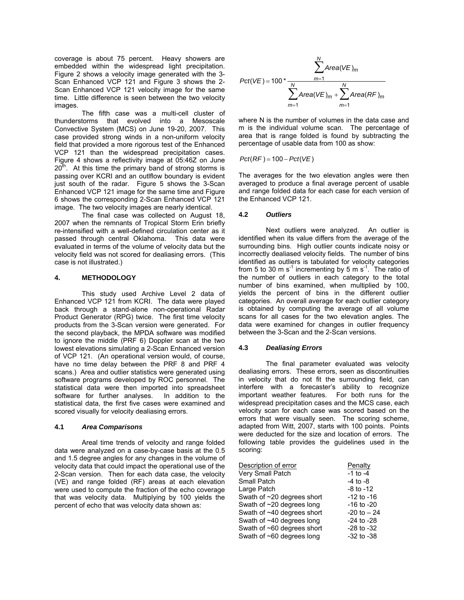coverage is about 75 percent. Heavy showers are embedded within the widespread light precipitation. Figure 2 shows a velocity image generated with the 3- Scan Enhanced VCP 121 and Figure 3 shows the 2- Scan Enhanced VCP 121 velocity image for the same time. Little difference is seen between the two velocity images.

The fifth case was a multi-cell cluster of thunderstorms that evolved into a Mesoscale Convective System (MCS) on June 19-20, 2007. This case provided strong winds in a non-uniform velocity field that provided a more rigorous test of the Enhanced VCP 121 than the widespread precipitation cases. Figure 4 shows a reflectivity image at 05:46Z on June  $20<sup>th</sup>$ . At this time the primary band of strong storms is passing over KCRI and an outlflow boundary is evident just south of the radar. Figure 5 shows the 3-Scan Enhanced VCP 121 image for the same time and Figure 6 shows the corresponding 2-Scan Enhanced VCP 121 image. The two velocity images are nearly identical.

The final case was collected on August 18, 2007 when the remnants of Tropical Storm Erin briefly re-intensified with a well-defined circulation center as it passed through central Oklahoma. This data were evaluated in terms of the volume of velocity data but the velocity field was not scored for dealiasing errors. (This case is not illustrated.)

#### **4. METHODOLOGY**

 This study used Archive Level 2 data of Enhanced VCP 121 from KCRI. The data were played back through a stand-alone non-operational Radar Product Generator (RPG) twice. The first time velocity products from the 3-Scan version were generated. For the second playback, the MPDA software was modified to ignore the middle (PRF 6) Doppler scan at the two lowest elevations simulating a 2-Scan Enhanced version of VCP 121. (An operational version would, of course, have no time delay between the PRF 8 and PRF 4 scans.) Area and outlier statistics were generated using software programs developed by ROC personnel. The statistical data were then imported into spreadsheet software for further analyses. In addition to the statistical data, the first five cases were examined and scored visually for velocity dealiasing errors.

#### **4.1** *Area Comparisons*

Areal time trends of velocity and range folded data were analyzed on a case-by-case basis at the 0.5 and 1.5 degree angles for any changes in the volume of velocity data that could impact the operational use of the 2-Scan version. Then for each data case, the velocity (VE) and range folded (RF) areas at each elevation were used to compute the fraction of the echo coverage that was velocity data. Multiplying by 100 yields the percent of echo that was velocity data shown as:

$$
Pct(VE) = 100 * \frac{\sum_{m=1}^{N} Area(VE)_m}{\sum_{m=1}^{N} Area(VE)_m + \sum_{m=1}^{N} Area(RF)_m}
$$

where N is the number of volumes in the data case and m is the individual volume scan. The percentage of area that is range folded is found by subtracting the percentage of usable data from 100 as show:

 $Pct(RF) = 100 - Pct(VF)$ 

The averages for the two elevation angles were then averaged to produce a final average percent of usable and range folded data for each case for each version of the Enhanced VCP 121.

## **4.2** *Outliers*

Next outliers were analyzed. An outlier is identified when its value differs from the average of the surrounding bins. High outlier counts indicate noisy or incorrectly dealiased velocity fields. The number of bins identified as outliers is tabulated for velocity categories from 5 to 30 m  $s^{-1}$  incrementing by 5 m  $s^{-1}$ . The ratio of the number of outliers in each category to the total number of bins examined, when multiplied by 100, yields the percent of bins in the different outlier categories. An overall average for each outlier category is obtained by computing the average of all volume scans for all cases for the two elevation angles. The data were examined for changes in outlier frequency between the 3-Scan and the 2-Scan versions.

## **4.3** *Dealiasing Errors*

The final parameter evaluated was velocity dealiasing errors. These errors, seen as discontinuities in velocity that do not fit the surrounding field, can interfere with a forecaster's ability to recognize important weather features. For both runs for the widespread precipitation cases and the MCS case, each velocity scan for each case was scored based on the errors that were visually seen. The scoring scheme, adapted from Witt, 2007, starts with 100 points. Points were deducted for the size and location of errors. The following table provides the guidelines used in the scoring:

| Description of error            | Penalty        |
|---------------------------------|----------------|
| Very Small Patch                | $-1$ to $-4$   |
| <b>Small Patch</b>              | $-4$ to $-8$   |
| Large Patch                     | $-8$ to $-12$  |
| Swath of ~20 degrees short      | $-12$ to $-16$ |
| Swath of $\sim$ 20 degrees long | $-16$ to $-20$ |
| Swath of ~40 degrees short      | $-20$ to $-24$ |
| Swath of ~40 degrees long       | $-24$ to $-28$ |
| Swath of ~60 degrees short      | $-28$ to $-32$ |
| Swath of $~60$ degrees long     | $-32$ to $-38$ |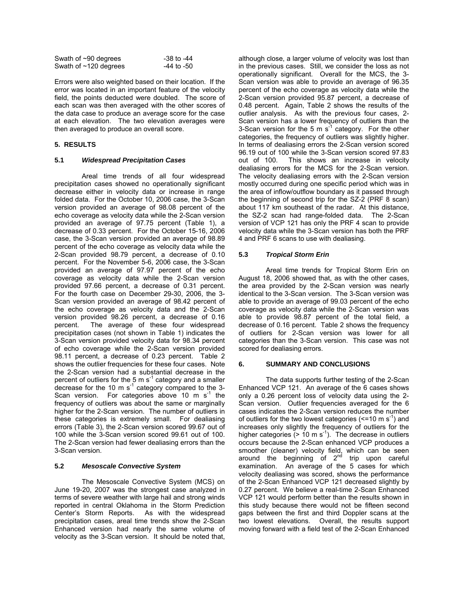| Swath of $\sim$ 90 degrees | -38 to -44 |
|----------------------------|------------|
| Swath of $~120$ degrees    | -44 to -50 |

Errors were also weighted based on their location. If the error was located in an important feature of the velocity field, the points deducted were doubled. The score of each scan was then averaged with the other scores of the data case to produce an average score for the case at each elevation. The two elevation averages were then averaged to produce an overall score.

# **5. RESULTS**

## **5.1** *Widespread Precipitation Cases*

Areal time trends of all four widespread precipitation cases showed no operationally significant decrease either in velocity data or increase in range folded data. For the October 10, 2006 case, the 3-Scan version provided an average of 98.08 percent of the echo coverage as velocity data while the 2-Scan version provided an average of 97.75 percent (Table 1), a decrease of 0.33 percent. For the October 15-16, 2006 case, the 3-Scan version provided an average of 98.89 percent of the echo coverage as velocity data while the 2-Scan provided 98.79 percent, a decrease of 0.10 percent. For the November 5-6, 2006 case, the 3-Scan provided an average of 97.97 percent of the echo coverage as velocity data while the 2-Scan version provided 97.66 percent, a decrease of 0.31 percent. For the fourth case on December 29-30, 2006, the 3- Scan version provided an average of 98.42 percent of the echo coverage as velocity data and the 2-Scan version provided 98.26 percent, a decrease of 0.16 The average of these four widespread precipitation cases (not shown in Table 1) indicates the 3-Scan version provided velocity data for 98.34 percent of echo coverage while the 2-Scan version provided 98.11 percent, a decrease of 0.23 percent. Table 2 shows the outlier frequencies for these four cases. Note the 2-Scan version had a substantial decrease in the percent of outliers for the 5 m  $s^{-1}$  category and a smaller decrease for the 10 m s<sup>-1</sup> category compared to the 3-Scan version. For categories above 10 m  $s^{-1}$  the frequency of outliers was about the same or marginally higher for the 2-Scan version. The number of outliers in these categories is extremely small. For dealiasing errors (Table 3), the 2-Scan version scored 99.67 out of 100 while the 3-Scan version scored 99.61 out of 100. The 2-Scan version had fewer dealiasing errors than the 3-Scan version.

## **5.2** *Mesoscale Convective System*

 The Mesoscale Convective System (MCS) on June 19-20, 2007 was the strongest case analyzed in terms of severe weather with large hail and strong winds reported in central Oklahoma in the Storm Prediction Center's Storm Reports. As with the widespread precipitation cases, areal time trends show the 2-Scan Enhanced version had nearly the same volume of velocity as the 3-Scan version. It should be noted that,

although close, a larger volume of velocity was lost than in the previous cases. Still, we consider the loss as not operationally significant. Overall for the MCS, the 3- Scan version was able to provide an average of 96.35 percent of the echo coverage as velocity data while the 2-Scan version provided 95.87 percent, a decrease of 0.48 percent. Again, Table 2 shows the results of the outlier analysis. As with the previous four cases, 2- Scan version has a lower frequency of outliers than the 3-Scan version for the 5 m  $s^{-1}$  category. For the other categories, the frequency of outliers was slightly higher. In terms of dealiasing errors the 2-Scan version scored 96.19 out of 100 while the 3-Scan version scored 97.83 out of 100. This shows an increase in velocity dealiasing errors for the MCS for the 2-Scan version. The velocity dealiasing errors with the 2-Scan version mostly occurred during one specific period which was in the area of inflow/outflow boundary as it passed through the beginning of second trip for the SZ-2 (PRF 8 scan) about 117 km southeast of the radar. At this distance, the SZ-2 scan had range-folded data. The 2-Scan version of VCP 121 has only the PRF 4 scan to provide velocity data while the 3-Scan version has both the PRF 4 and PRF 6 scans to use with dealiasing.

## **5.3** *Tropical Storm Erin*

 Areal time trends for Tropical Storm Erin on August 18, 2006 showed that, as with the other cases, the area provided by the 2-Scan version was nearly identical to the 3-Scan version. The 3-Scan version was able to provide an average of 99.03 percent of the echo coverage as velocity data while the 2-Scan version was able to provide 98.87 percent of the total field, a decrease of 0.16 percent. Table 2 shows the frequency of outliers for 2-Scan version was lower for all categories than the 3-Scan version. This case was not scored for dealiasing errors.

#### **6. SUMMARY AND CONCLUSIONS**

 The data supports further testing of the 2-Scan Enhanced VCP 121. An average of the 6 cases shows only a 0.26 percent loss of velocity data using the 2- Scan version. Outlier frequencies averaged for the 6 cases indicates the 2-Scan version reduces the number of outliers for the two lowest categories  $\left($  <=10 m s<sup>-1</sup>) and increases only slightly the frequency of outliers for the higher categories  $(> 10 \text{ m s}^{-1})$ . The decrease in outliers occurs because the 2-Scan enhanced VCP produces a smoother (cleaner) velocity field, which can be seen around the beginning of  $2^{nd}$  trip upon careful examination. An average of the 5 cases for which velocity dealiasing was scored, shows the performance of the 2-Scan Enhanced VCP 121 decreased slightly by 0.27 percent. We believe a real-time 2-Scan Enhanced VCP 121 would perform better than the results shown in this study because there would not be fifteen second gaps between the first and third Doppler scans at the two lowest elevations. Overall, the results support moving forward with a field test of the 2-Scan Enhanced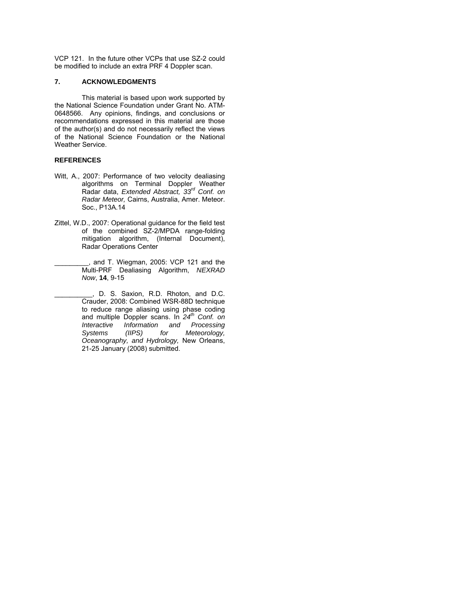VCP 121. In the future other VCPs that use SZ-2 could be modified to include an extra PRF 4 Doppler scan.

## **7. ACKNOWLEDGMENTS**

This material is based upon work supported by the National Science Foundation under Grant No. ATM-0648566. Any opinions, findings, and conclusions or recommendations expressed in this material are those of the author(s) and do not necessarily reflect the views of the National Science Foundation or the National Weather Service.

#### **REFERENCES**

- Witt, A., 2007: Performance of two velocity dealiasing algorithms on Terminal Doppler Weather Radar data, *Extended Abstract, 33rd Conf. on Radar Meteor,* Cairns, Australia, Amer. Meteor. Soc., P13A.14
- Zittel, W.D., 2007: Operational guidance for the field test of the combined SZ-2/MPDA range-folding mitigation algorithm, (Internal Document), Radar Operations Center
- \_\_\_\_\_\_\_\_\_, and T. Wiegman, 2005: VCP 121 and the Multi-PRF Dealiasing Algorithm, *NEXRAD Now*, **14**, 9-15
- \_\_\_\_\_\_\_\_\_\_, D. S. Saxion, R.D. Rhoton, and D.C. Crauder, 2008: Combined WSR-88D technique to reduce range aliasing using phase coding and multiple Doppler scans. In *24th Conf. on Interactive Information and Processing*   $Meteorology$ , *Oceanography, and Hydrology,* New Orleans, 21-25 January (2008) submitted.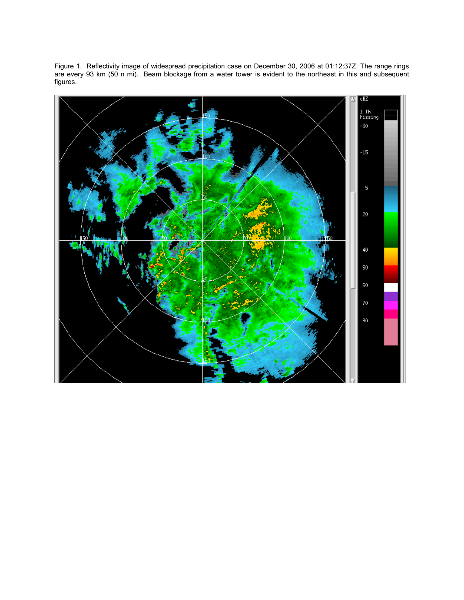Figure 1. Reflectivity image of widespread precipitation case on December 30, 2006 at 01:12:37Z. The range rings are every 93 km (50 n mi). Beam blockage from a water tower is evident to the northeast in this and subsequent figures.

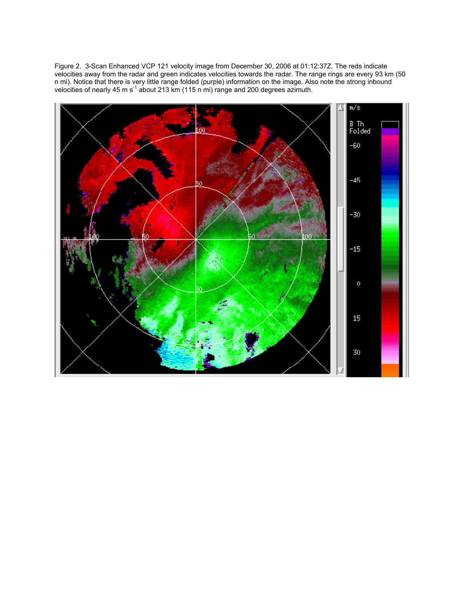Figure 2. 3-Scan Enhanced VCP 121 velocity image from December 30, 2006 at 01:12:37Z. The reds indicate velocities away from the radar and green indicates velocities towards the radar. The range rings are every 93 km (50 n mi). Notice that there is very little range folded (purple) information on the image. Also note the strong inbound velocities of nearly 45 m s<sup>-1</sup> about 213 km (115 n mi) range and 200 degrees azimuth.

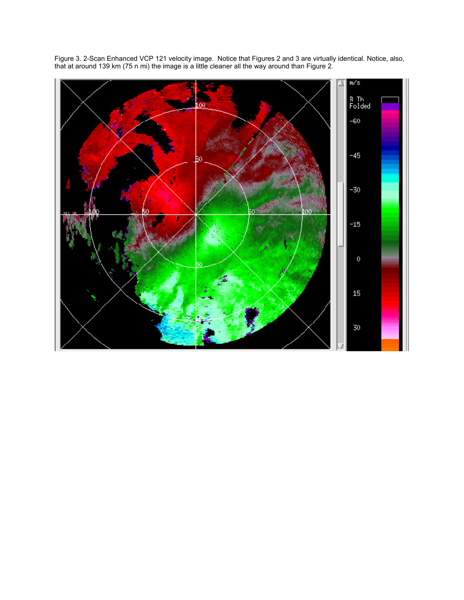

Figure 3. 2-Scan Enhanced VCP 121 velocity image. Notice that Figures 2 and 3 are virtually identical. Notice, also, that at around 139 km (75 n mi) the image is a little cleaner all the way around than Figure 2.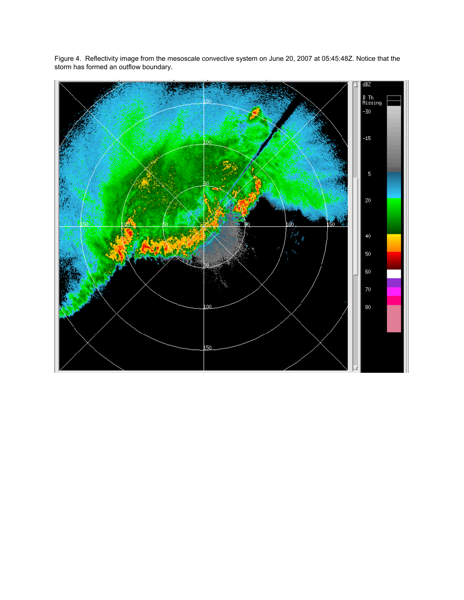

Figure 4. Reflectivity image from the mesoscale convective system on June 20, 2007 at 05:45:48Z. Notice that the storm has formed an outflow boundary.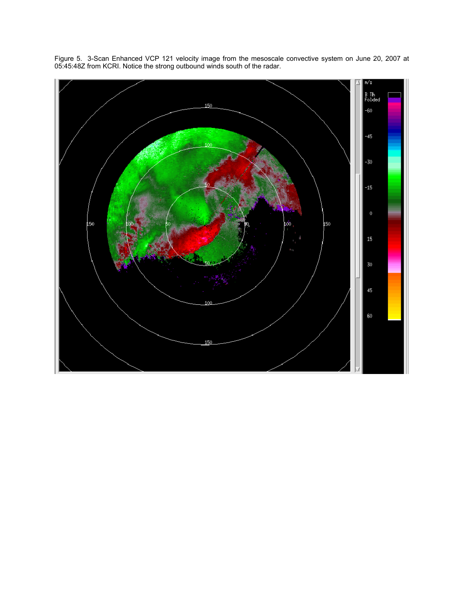

Figure 5. 3-Scan Enhanced VCP 121 velocity image from the mesoscale convective system on June 20, 2007 at 05:45:48Z from KCRI. Notice the strong outbound winds south of the radar.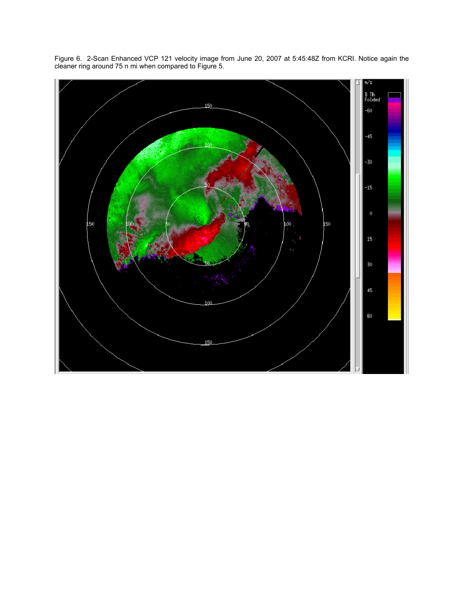

Figure 6. 2-Scan Enhanced VCP 121 velocity image from June 20, 2007 at 5:45:48Z from KCRI. Notice again the cleaner ring around 75 n mi when compared to Figure 5.